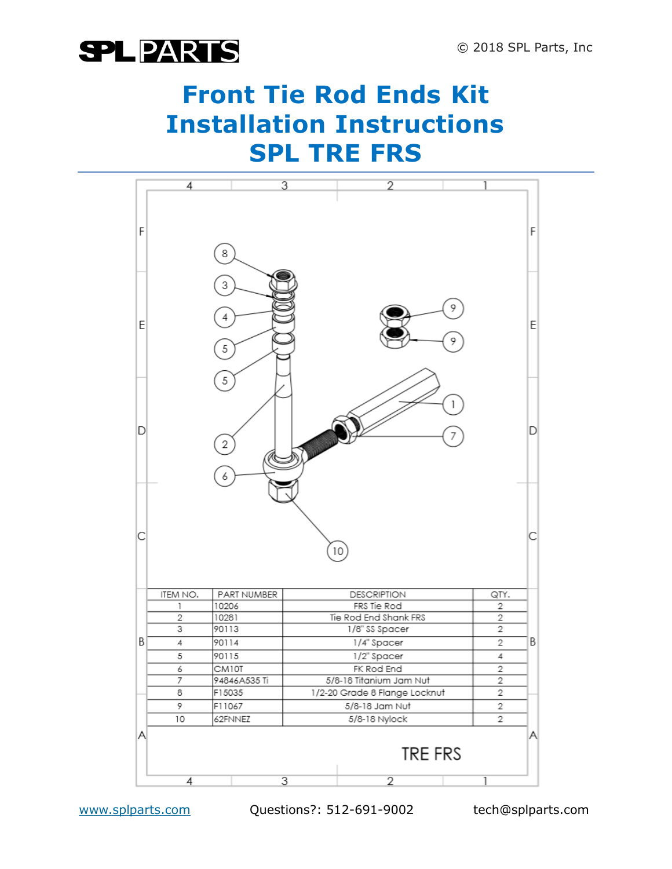### **Front Tie Rod Ends Kit Installation Instructions SPL TRE FRS**



www.splparts.com Questions?: 512-691-9002 tech@splparts.com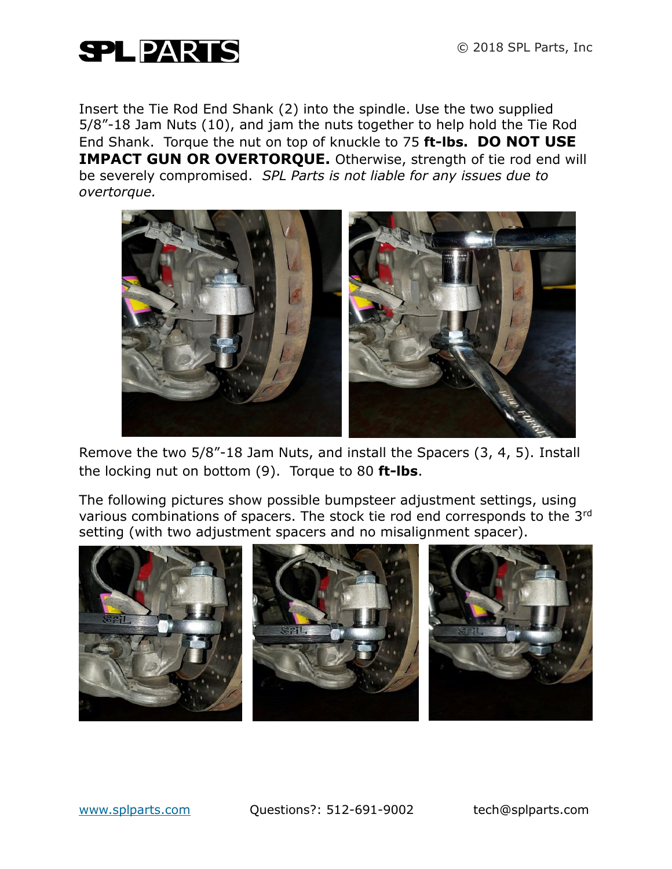

Insert the Tie Rod End Shank (2) into the spindle. Use the two supplied 5/8"-18 Jam Nuts (10), and jam the nuts together to help hold the Tie Rod End Shank. Torque the nut on top of knuckle to 75 **ft-lbs. DO NOT USE IMPACT GUN OR OVERTORQUE.** Otherwise, strength of tie rod end will be severely compromised. *SPL Parts is not liable for any issues due to overtorque.*



Remove the two 5/8"-18 Jam Nuts, and install the Spacers (3, 4, 5). Install the locking nut on bottom (9). Torque to 80 **ft-lbs**.

The following pictures show possible bumpsteer adjustment settings, using various combinations of spacers. The stock tie rod end corresponds to the 3rd setting (with two adjustment spacers and no misalignment spacer).



www.splparts.com Questions?: 512-691-9002 tech@splparts.com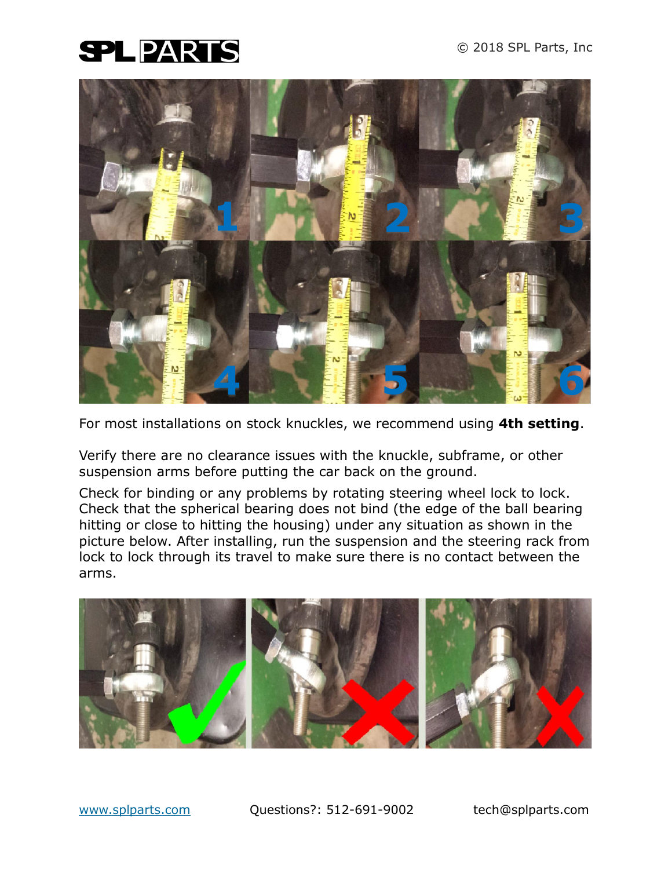

For most installations on stock knuckles, we recommend using **4th setting**.

Verify there are no clearance issues with the knuckle, subframe, or other suspension arms before putting the car back on the ground.

Check for binding or any problems by rotating steering wheel lock to lock. Check that the spherical bearing does not bind (the edge of the ball bearing hitting or close to hitting the housing) under any situation as shown in the picture below. After installing, run the suspension and the steering rack from lock to lock through its travel to make sure there is no contact between the arms.



www.splparts.com Questions?: 512-691-9002 tech@splparts.com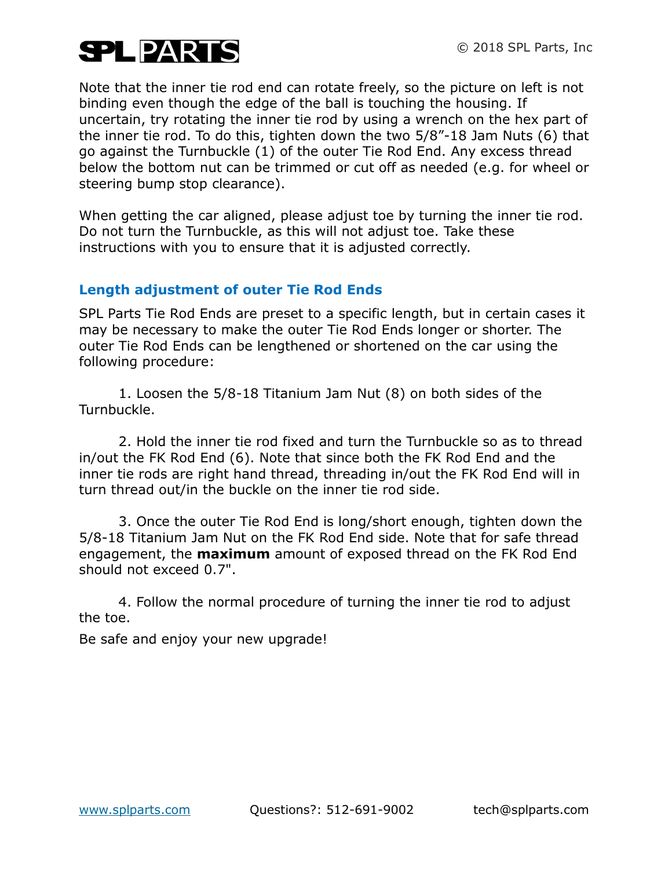Note that the inner tie rod end can rotate freely, so the picture on left is not binding even though the edge of the ball is touching the housing. If uncertain, try rotating the inner tie rod by using a wrench on the hex part of the inner tie rod. To do this, tighten down the two 5/8"-18 Jam Nuts (6) that go against the Turnbuckle (1) of the outer Tie Rod End. Any excess thread below the bottom nut can be trimmed or cut off as needed (e.g. for wheel or steering bump stop clearance).

When getting the car aligned, please adjust toe by turning the inner tie rod. Do not turn the Turnbuckle, as this will not adjust toe. Take these instructions with you to ensure that it is adjusted correctly.

#### **Length adjustment of outer Tie Rod Ends**

SPL Parts Tie Rod Ends are preset to a specific length, but in certain cases it may be necessary to make the outer Tie Rod Ends longer or shorter. The outer Tie Rod Ends can be lengthened or shortened on the car using the following procedure:

1. Loosen the 5/8-18 Titanium Jam Nut (8) on both sides of the Turnbuckle.

2. Hold the inner tie rod fixed and turn the Turnbuckle so as to thread in/out the FK Rod End (6). Note that since both the FK Rod End and the inner tie rods are right hand thread, threading in/out the FK Rod End will in turn thread out/in the buckle on the inner tie rod side.

3. Once the outer Tie Rod End is long/short enough, tighten down the 5/8-18 Titanium Jam Nut on the FK Rod End side. Note that for safe thread engagement, the **maximum** amount of exposed thread on the FK Rod End should not exceed 0.7".

4. Follow the normal procedure of turning the inner tie rod to adjust the toe.

Be safe and enjoy your new upgrade!